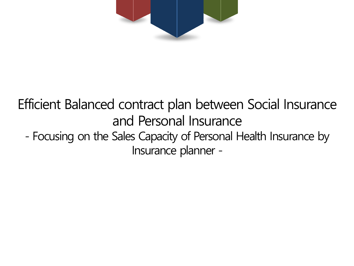

### Efficient Balanced contract plan between Social Insurance and Personal Insurance - Focusing on the Sales Capacity of Personal Health Insurance by Insurance planner -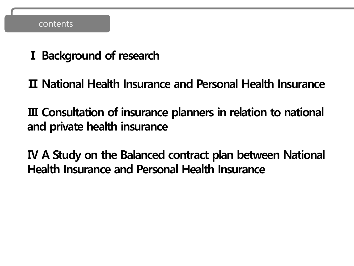### contents

**Ⅰ Background of research**

**Ⅱ National Health Insurance and Personal Health Insurance**

**Ⅲ Consultation of insurance planners in relation to national and private health insurance**

**Ⅳ A Study on the Balanced contract plan between National Health Insurance and Personal Health Insurance**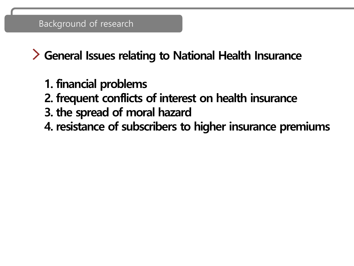**General Issues relating to National Health Insurance**

- **1. financial problems**
- **2. frequent conflicts of interest on health insurance**
- **3. the spread of moral hazard**
- **4. resistance of subscribers to higher insurance premiums**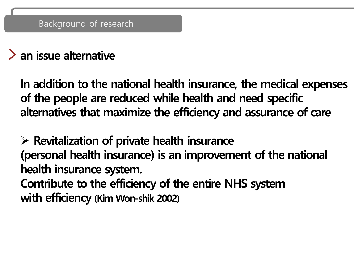### **an issue alternative**

**In addition to the national health insurance, the medical expenses of the people are reduced while health and need specific alternatives that maximize the efficiency and assurance of care**

➢ **Revitalization of private health insurance (personal health insurance) is an improvement of the national health insurance system. Contribute to the efficiency of the entire NHS system with efficiency (Kim Won-shik 2002)**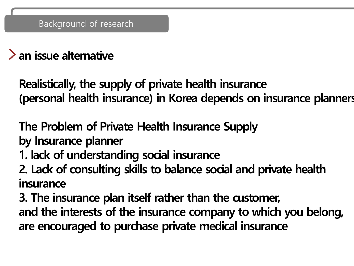# **an issue alternative**

**Realistically, the supply of private health insurance (personal health insurance) in Korea depends on insurance planners**

**The Problem of Private Health Insurance Supply by Insurance planner** 

- **1. lack of understanding social insurance**
- **2. Lack of consulting skills to balance social and private health insurance**

**3. The insurance plan itself rather than the customer, and the interests of the insurance company to which you belong, are encouraged to purchase private medical insurance**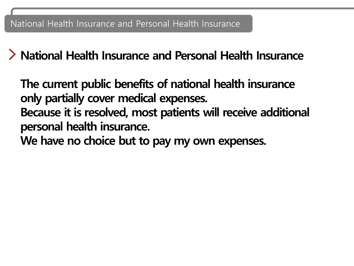**National Health Insurance and Personal Health Insurance**

**The current public benefits of national health insurance only partially cover medical expenses. Because it is resolved, most patients will receive additional personal health insurance. We have no choice but to pay my own expenses.**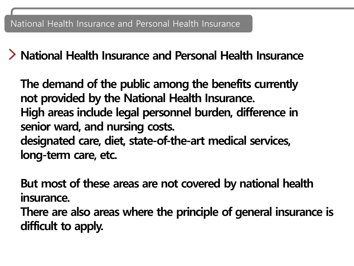**National Health Insurance and Personal Health Insurance**

**The demand of the public among the benefits currently not provided by the National Health Insurance. High areas include legal personnel burden, difference in senior ward, and nursing costs. designated care, diet, state-of-the-art medical services, long-term care, etc.**

**But most of these areas are not covered by national health insurance.** 

**There are also areas where the principle of general insurance is difficult to apply.**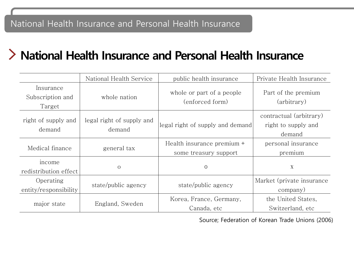### **National Health Insurance and Personal Health Insurance**

|                                         | National Health Service             | public health insurance                             | Private Health Insurance                                 |
|-----------------------------------------|-------------------------------------|-----------------------------------------------------|----------------------------------------------------------|
| Insurance<br>Subscription and<br>Target | whole nation                        | whole or part of a people<br>(enforced form)        | Part of the premium<br>(arbitrary)                       |
| right of supply and<br>demand           | legal right of supply and<br>demand | legal right of supply and demand                    | contractual (arbitrary)<br>right to supply and<br>demand |
| Medical finance                         | general tax                         | Health insurance premium +<br>some treasury support | personal insurance<br>premium                            |
| income<br>redistribution effect         | $\circ$                             | $\Omega$                                            | $\mathbf X$                                              |
| Operating<br>entity/responsibility      | state/public agency                 | state/public agency                                 | Market (private insurance<br>company)                    |
| major state                             | England, Sweden                     | Korea, France, Germany,<br>Canada, etc              | the United States,<br>Switzerland, etc.                  |

Source; Federation of Korean Trade Unions (2006)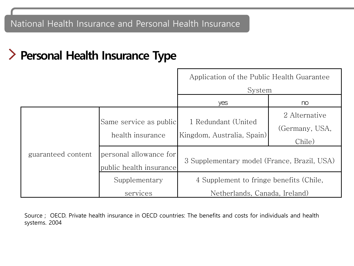## **Personal Health Insurance Type**

|                    |                                                   | Application of the Public Health Guarantee         |                                 |  |  |
|--------------------|---------------------------------------------------|----------------------------------------------------|---------------------------------|--|--|
|                    |                                                   | System                                             |                                 |  |  |
|                    |                                                   | yes                                                | no                              |  |  |
|                    | Same service as public<br>health insurance        | 1 Redundant (United<br> Kingdom, Australia, Spain) | 2 Alternative<br>(Germany, USA, |  |  |
|                    |                                                   |                                                    | Chile)                          |  |  |
| guaranteed content | personal allowance for<br>public health insurance | 3 Supplementary model (France, Brazil, USA)        |                                 |  |  |
|                    | Supplementary                                     | 4 Supplement to fringe benefits (Chile,            |                                 |  |  |
|                    | services                                          | Netherlands, Canada, Ireland)                      |                                 |  |  |

Source ; OECD. Private health insurance in OECD countries: The benefits and costs for individuals and health systems. 2004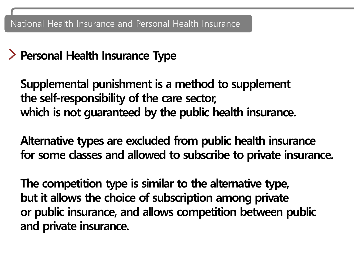### **Personal Health Insurance Type**

**Supplemental punishment is a method to supplement the self-responsibility of the care sector, which is not guaranteed by the public health insurance.**

**Alternative types are excluded from public health insurance for some classes and allowed to subscribe to private insurance.**

**The competition type is similar to the alternative type, but it allows the choice of subscription among private or public insurance, and allows competition between public and private insurance.**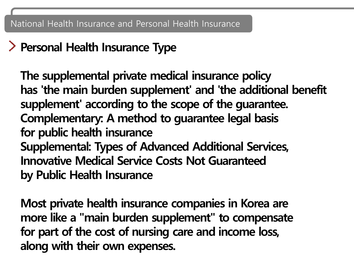# **Personal Health Insurance Type**

**The supplemental private medical insurance policy has 'the main burden supplement' and 'the additional benefit supplement' according to the scope of the guarantee. Complementary: A method to guarantee legal basis for public health insurance Supplemental: Types of Advanced Additional Services, Innovative Medical Service Costs Not Guaranteed by Public Health Insurance**

**Most private health insurance companies in Korea are more like a "main burden supplement" to compensate for part of the cost of nursing care and income loss, along with their own expenses.**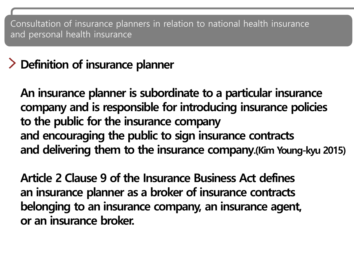# **Definition of insurance planner**

**An insurance planner is subordinate to a particular insurance company and is responsible for introducing insurance policies to the public for the insurance company and encouraging the public to sign insurance contracts and delivering them to the insurance company.(Kim Young-kyu 2015)**

**Article 2 Clause 9 of the Insurance Business Act defines an insurance planner as a broker of insurance contracts belonging to an insurance company, an insurance agent, or an insurance broker.**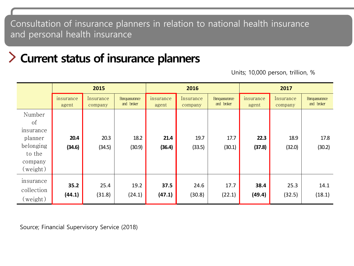### **Current status of insurance planners**

Units; 10,000 person, trillion, %

|                                                              |                    | 2015                 |                                    |                    | 2016                 |                                    | 2017               |                      |                                    |
|--------------------------------------------------------------|--------------------|----------------------|------------------------------------|--------------------|----------------------|------------------------------------|--------------------|----------------------|------------------------------------|
|                                                              | insurance<br>agent | Insurance<br>company | <b>Banquasurance</b><br>and broker | insurance<br>agent | Insurance<br>company | <b>Banquasurance</b><br>and broker | insurance<br>agent | Insurance<br>company | <b>Banquasurance</b><br>and broker |
| Number<br><sub>of</sub><br>insurance<br>planner<br>belonging | 20.4<br>(34.6)     | 20.3<br>(34.5)       | 18.2<br>(30.9)                     | 21.4<br>(36.4)     | 19.7<br>(33.5)       | 17.7<br>(30.1)                     | 22.3<br>(37.8)     | 18.9<br>(32.0)       | 17.8<br>(30.2)                     |
| to the<br>company<br>(weight)                                |                    |                      |                                    |                    |                      |                                    |                    |                      |                                    |
| insurance<br>collection<br>(weight)                          | 35.2<br>(44.1)     | 25.4<br>(31.8)       | 19.2<br>(24.1)                     | 37.5<br>(47.1)     | 24.6<br>(30.8)       | 17.7<br>(22.1)                     | 38.4<br>(49.4)     | 25.3<br>(32.5)       | 14.1<br>(18.1)                     |

Source; Financial Supervisory Service (2018)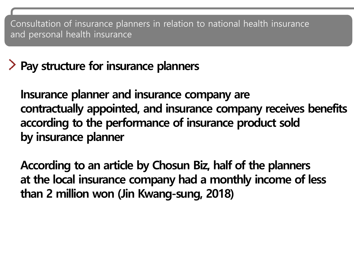# **Pay structure for insurance planners**

**Insurance planner and insurance company are contractually appointed, and insurance company receives benefits according to the performance of insurance product sold by insurance planner**

**According to an article by Chosun Biz, half of the planners at the local insurance company had a monthly income of less than 2 million won (Jin Kwang-sung, 2018)**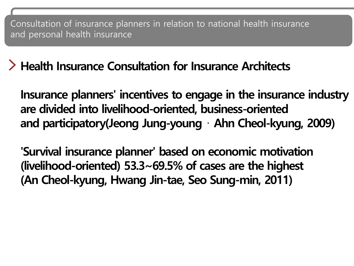**Health Insurance Consultation for Insurance Architects**

**Insurance planners' incentives to engage in the insurance industry are divided into livelihood-oriented, business-oriented and participatory(Jeong Jung-young** ⋅ **Ahn Cheol-kyung, 2009)**

**'Survival insurance planner' based on economic motivation (livelihood-oriented) 53.3~69.5% of cases are the highest (An Cheol-kyung, Hwang Jin-tae, Seo Sung-min, 2011)**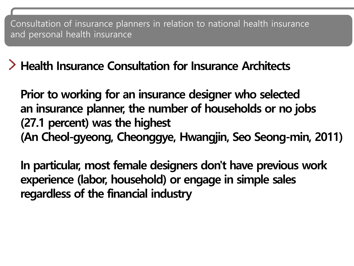**Health Insurance Consultation for Insurance Architects**

**Prior to working for an insurance designer who selected an insurance planner, the number of households or no jobs (27.1 percent) was the highest (An Cheol-gyeong, Cheonggye, Hwangjin, Seo Seong-min, 2011)**

**In particular, most female designers don't have previous work experience (labor, household) or engage in simple sales regardless of the financial industry**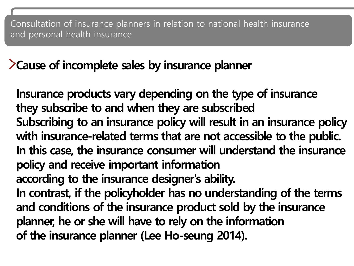### **Cause of incomplete sales by insurance planner**

**Insurance products vary depending on the type of insurance they subscribe to and when they are subscribed Subscribing to an insurance policy will result in an insurance policy with insurance-related terms that are not accessible to the public. In this case, the insurance consumer will understand the insurance policy and receive important information according to the insurance designer's ability. In contrast, if the policyholder has no understanding of the terms and conditions of the insurance product sold by the insurance planner, he or she will have to rely on the information of the insurance planner (Lee Ho-seung 2014).**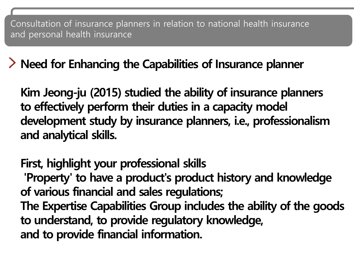**Need for Enhancing the Capabilities of Insurance planner**

**Kim Jeong-ju (2015) studied the ability of insurance planners to effectively perform their duties in a capacity model development study by insurance planners, i.e., professionalism and analytical skills.**

**First, highlight your professional skills 'Property' to have a product's product history and knowledge of various financial and sales regulations; The Expertise Capabilities Group includes the ability of the goods to understand, to provide regulatory knowledge, and to provide financial information.**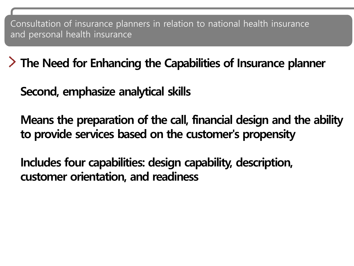**The Need for Enhancing the Capabilities of Insurance planner**

**Second, emphasize analytical skills** 

**Means the preparation of the call, financial design and the ability to provide services based on the customer's propensity**

**Includes four capabilities: design capability, description, customer orientation, and readiness**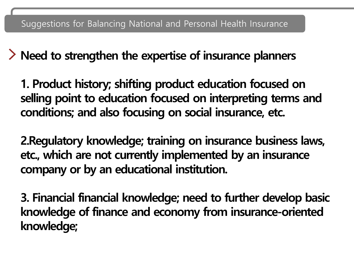**Need to strengthen the expertise of insurance planners**

**1. Product history; shifting product education focused on selling point to education focused on interpreting terms and conditions; and also focusing on social insurance, etc.**

**2.Regulatory knowledge; training on insurance business laws, etc., which are not currently implemented by an insurance company or by an educational institution.**

**3. Financial financial knowledge; need to further develop basic knowledge of finance and economy from insurance-oriented knowledge;**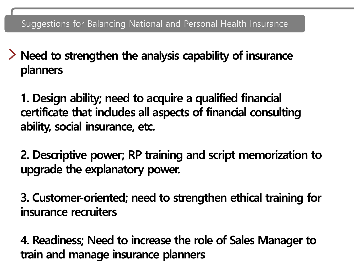**Need to strengthen the analysis capability of insurance planners**

**1. Design ability; need to acquire a qualified financial certificate that includes all aspects of financial consulting ability, social insurance, etc.**

**2. Descriptive power; RP training and script memorization to upgrade the explanatory power.**

**3. Customer-oriented; need to strengthen ethical training for insurance recruiters**

**4. Readiness; Need to increase the role of Sales Manager to train and manage insurance planners**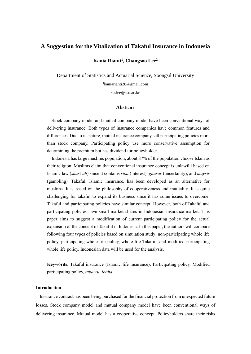### **A Suggestion for the Vitalization of Takaful Insurance in Indonesia**

**Kania Rianti<sup>1</sup> , Changsoo Lee<sup>2</sup>**

Department of Statistics and Actuarial Science, Soongsil University

<sup>1</sup>[kaniarianti28@gmail.com](mailto:1kaniarianti28@gmail.com)

2 [cslee@ssu.ac.kr](mailto:cslee@ssu.ac.kr)

#### **Abstract**

Stock company model and mutual company model have been conventional ways of delivering insurance. Both types of insurance companies have common features and differences. Due to its nature, mutual insurance company sell participating policies more than stock company. Participating policy use more conservative assumption for determining the premium but has dividend for policyholder.

Indonesia has large muslims population, about 87% of the population choose Islam as their religion. Muslims claim that conventional insurance concept is unlawful based on Islamic law (*shari'ah*) since it contains *riba* (interest), *gharar* (uncertainty), and *maysir* (gambling). Takaful, Islamic insurance, has been developed as an alternative for muslims. It is based on the philosophy of cooperativeness and mutuality. It is quite challenging for takaful to expand its business since it has some issues to overcome. Takaful and participating policies have similar concept. However, both of Takaful and participating policies have small market shares in Indonesian insurance market. This paper aims to suggest a modification of current participating policy for the actual expansion of the concept of Takaful in Indonesia. In this paper, the authors will compare following four types of policies based on simulation study: non-participating whole life policy, participating whole life policy, whole life Takaful, and modified participating whole life policy. Indonesian data will be used for the analysis.

**Keywords**: Takaful insurance (Islamic life insurance), Participating policy, Modified participating policy, *tabarru*, *ibaha.*

### **Introduction**

Insurance contract has been being purchased for the financial protection from unexpected future losses. Stock company model and mutual company model have been conventional ways of delivering insurance. Mutual model has a cooperative concept. Policyholders share their risks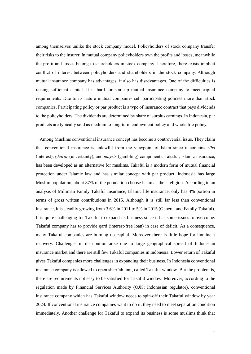among themselves unlike the stock company model. Policyholders of stock company transfer their risks to the insurer. In mutual company policyholders own the profits and losses, meanwhile the profit and losses belong to shareholders in stock company. Therefore, there exists implicit conflict of interest between policyholders and shareholders in the stock company. Although mutual insurance company has advantages, it also has disadvantages. One of the difficulties is raising sufficient capital. It is hard for start-up mutual insurance company to meet capital requirements. Due to its nature mutual companies sell participating policies more than stock companies. Participating policy or par product is a type of insurance contract that pays dividends to the policyholders. The dividends are determined by share of surplus earnings. In Indonesia, par products are typically sold as medium to long-term endowment policy and whole life policy.

Among Muslims conventional insurance concept has become a controversial issue. They claim that conventional insurance is unlawful from the viewpoint of Islam since it contains *riba* (interest), *gharar* (uncertainty), and *maysir* (gambling) components. Takaful, Islamic insurance, has been developed as an alternative for muslims. Takaful is a modern form of mutual financial protection under Islamic law and has similar concept with par product. Indonesia has large Muslim population, about 87% of the population choose Islam as their religion. According to an analysis of Milliman Family Takaful Insurance, Islamic life insurance, only has 4% portion in terms of gross written contributions in 2015. Although it is still far less than conventional insurance, it is steadily growing from 3.6% in 2011 to 5% in 2015 (General and Family Takaful). It is quite challenging for Takaful to expand its business since it has some issues to overcome. Takaful company has to provide qard (interest-free loan) in case of deficit. As a consequence, many Takaful companies are burning up capital. Moreover there is little hope for imminent recovery. Challenges in distribution arise due to large geographical spread of Indonesian insurance market and there are still few Takaful companies in Indonesia. Lower return of Takaful gives Takaful companies more challenges in expanding their business. In Indonesia conventional insurance company is allowed to open shari'ah unit, called Takaful window. But the problem is, there are requirements not easy to be satisfied for Takaful window. Moreover, according to the regulation made by Financial Services Authority (OJK; Indonesian regulator), conventional insurance company which has Takaful window needs to spin-off their Takaful window by year 2024. If conventional insurance companies want to do it, they need to meet separation condition immediately. Another challenge for Takaful to expand its business is some muslims think that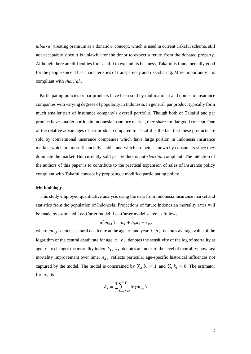*tabarru'* (treating premium as a donation) concept, which is used in current Takaful scheme, still not acceptable since it is unlawful for the donor to expect a return from the donated property. Although there are difficulties for Takaful to expand its business, Takaful is fundamentally good for the people since it has characteristics of transparency and risk-sharing. More importantly it is compliant with *shari'ah*.

Participating policies or par products have been sold by multinational and domestic insurance companies with varying degrees of popularity in Indonesia. In general, par product typically form much smaller part of insurance company's overall portfolio. Though both of Takaful and par product have smaller portion in Indonesia insurance market, they share similar good concept. One of the relative advantages of par product compared to Takaful is the fact that these products are sold by conventional insurance companies which have large portion in Indonesia insurance market, which are more financially stable, and which are better known by consumers since they dominate the market. But currently sold par product is not *shari'ah* compliant. The intention of the authors of this paper is to contribute to the practical expansion of sales of insurance policy compliant with Takaful concept by proposing a modified participating policy.

#### **Methodology**

This study employed quantitative analysis using the data from Indonesia insurance market and statistics from the population of Indonesia. Projections of future Indonesian mortality rates will be made by estimated Lee-Carter model. Lee-Carter model stated as follows

$$
\ln(m_{x,t}) = a_x + b_x k_t + \epsilon_{x,t}
$$

where  $m_{x,t}$  denotes central death rate at the age  $x$  and year t,  $a_x$  denotes average value of the logarithm of the central death rate for age  $x$ ,  $b_x$  denotes the sensitivity of the log of mortality at age  $x$  to changes the mortality index  $k_t$ ,  $k_t$  denotes an index of the level of mortality; how fast mortality improvement over time,  $\epsilon_{x,t}$  reflects particular age-specific historical influences not captured by the model. The model is constrained by  $\sum_{x} b_x = 1$  and  $\sum_{t} k_t = 0$ . The estimator for  $a_x$  is

$$
\hat{a}_x = \frac{1}{T} \sum_{t=1}^T \ln(m_{x,t})
$$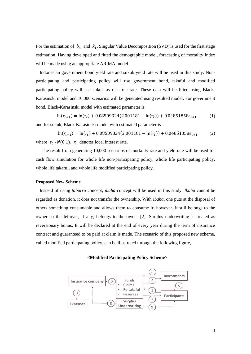For the estimation of  $b_x$  and  $k_t$ , Singular Value Decomposition (SVD) is used for the first stage estimation. Having developed and fitted the demographic model, forecasting of mortality index will be made using an appropriate ARIMA model.

Indonesian government bond yield rate and sukuk yield rate will be used in this study. Nonparticipating and participating policy will use government bond, takaful and modified participating policy will use sukuk as risk-free rate. These data will be fitted using Black-Karasinski model and 10,000 scenarios will be generated using resulted model. For government bond, Black-Karasinski model with estimated parameter is

 $\ln(r_{t+1}) = \ln(r_t) + 0.08509324(2.001181 - \ln(r_t)) + 0.04851858\epsilon_{t+1}$  (1) and for sukuk, Black-Karasinski model with estimated parameter is

 $\ln(r_{t+1}) = \ln(r_t) + 0.08509324(2.001181 - \ln(r_t)) + 0.04851858\epsilon_{t+1}$  (2) where  $\epsilon_t \sim N(0,1)$ ,  $r_t$  denotes local interest rate.

The result from generating 10,000 scenarios of mortality rate and yield rate will be used for cash flow simulation for whole life non-participating policy, whole life participating policy, whole life takaful, and whole life modified participating policy.

#### **Proposed New Scheme**

Instead of using *tabarru* concept, *ibaha* concept will be used in this study. *Ibaha* cannot be regarded as donation, it does not transfer the ownership. With *ibaha*, one puts at the disposal of others something consumable and allows them to consume it; however, it still belongs to the owner so the leftover, if any, belongs to the owner [2]. Surplus underwriting is treated as reversionary bonus. It will be declared at the end of every year during the term of insurance contract and guaranteed to be paid at claim is made. The scenario of this proposed new scheme, called modified participating policy, can be illustrated through the following figure,

#### **<Modified Participating Policy Scheme>**

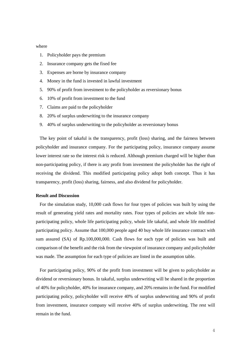#### where

- 1. Policyholder pays the premium
- 2. Insurance company gets the fixed fee
- 3. Expenses are borne by insurance company
- 4. Money in the fund is invested in lawful investment
- 5. 90% of profit from investment to the policyholder as reversionary bonus
- 6. 10% of profit from investment to the fund
- 7. Claims are paid to the policyholder
- 8. 20% of surplus underwriting to the insurance company
- 9. 40% of surplus underwriting to the policyholder as reversionary bonus

The key point of takaful is the transparency, profit (loss) sharing, and the fairness between policyholder and insurance company. For the participating policy, insurance company assume lower interest rate so the interest risk is reduced. Although premium charged will be higher than non-participating policy, if there is any profit from investment the policyholder has the right of receiving the dividend. This modified participating policy adopt both concept. Thus it has transparency, profit (loss) sharing, fairness, and also dividend for policyholder.

#### **Result and Discussion**

For the simulation study, 10,000 cash flows for four types of policies was built by using the result of generating yield rates and mortality rates. Four types of policies are whole life nonparticipating policy, whole life participating policy, whole life takaful, and whole life modified participating policy. Assume that 100,000 people aged 40 buy whole life insurance contract with sum assured (SA) of Rp.100,000,000. Cash flows for each type of policies was built and comparison of the benefit and the risk from the viewpoint of insurance company and policyholder was made. The assumption for each type of policies are listed in the assumption table.

For participating policy, 90% of the profit from investment will be given to policyholder as dividend or reversionary bonus. In takaful, surplus underwriting will be shared in the proportion of 40% for policyholder, 40% for insurance company, and 20% remains in the fund. For modified participating policy, policyholder will receive 40% of surplus underwriting and 90% of profit from investment, insurance company will receive 40% of surplus underwriting. The rest will remain in the fund.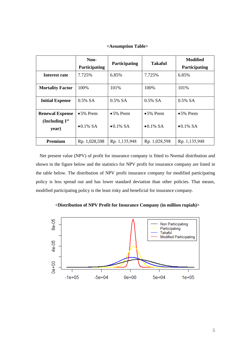#### **<Assumption Table>**

|                                                     | Non-<br><b>Participating</b>           | Participating                          | <b>Takaful</b>                         | <b>Modified</b><br><b>Participating</b> |
|-----------------------------------------------------|----------------------------------------|----------------------------------------|----------------------------------------|-----------------------------------------|
| Interest rate                                       | 7.725%                                 | 6.85%                                  | 7.725%                                 | 6.85%                                   |
| <b>Mortality Factor</b>                             | 100%                                   | 101%                                   | 100%                                   | 101%                                    |
| <b>Initial Expense</b>                              | $0.5\%$ SA                             | $0.5\%$ SA                             | $0.5\%$ SA                             | $0.5\%$ SA                              |
| <b>Renewal Expense</b><br>(Including $1st$<br>year) | $\bullet$ 5% Prem<br>$\bullet$ 0.1% SA | $\bullet$ 5% Prem<br>$\bullet$ 0.1% SA | $\bullet$ 5% Prem<br>$\bullet$ 0.1% SA | $\bullet$ 5% Prem<br>$\bullet$ 0.1% SA  |
| Premium                                             | Rp. 1,028,598                          | Rp. 1,135,948                          | Rp. 1,028,598                          | Rp. 1,135,948                           |

Net present value (NPV) of profit for insurance company is fitted to Normal distribution and shown in the figure below and the statistics for NPV profit for insurance company are listed in the table below. The distribution of NPV profit insurance company for modified participating policy is less spread out and has lower standard deviation than other policies. That means, modified participating policy is the least risky and beneficial for insurance company.



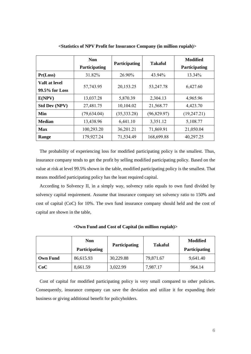|                                | <b>Non</b>    |               | Takaful     | <b>Modified</b>      |
|--------------------------------|---------------|---------------|-------------|----------------------|
|                                | Participating | Participating |             | <b>Participating</b> |
| Pr(Loss)                       | 31.82%        | 26.90%        | 43.94%      | 13.34%               |
| VaR at level<br>99.5% for Loss | 57,743.95     | 20,153.25     | 53,247.78   | 6,427.60             |
| E(NPV)                         | 13,037.28     | 5,870.39      | 2,304.13    | 4,965.96             |
| <b>Std Dev (NPV)</b>           | 27,481.75     | 10,104.02     | 21,568.77   | 4,423.70             |
| Min                            | (79, 634.04)  | (35, 333.28)  | (96,829.97) | (19, 247.21)         |
| <b>Median</b>                  | 13,438.96     | 6,441.10      | 3,351.12    | 5,108.77             |
| Max                            | 100,293.20    | 36,201.21     | 71,869.91   | 21,050.04            |
| Range                          | 179,927.24    | 71,534.49     | 168,699.88  | 40,297.25            |

**<Statistics of NPV Profit for Insurance Company (in million rupiah)>**

The probability of experiencing loss for modified participating policy is the smallest. Thus, insurance company tends to get the profit by selling modified participating policy. Based on the value at risk at level 99.5% shown in the table, modified participating policy is the smallest. That means modified participating policy has the least required capital.

According to Solvency II, in a simply way, solvency ratio equals to own fund divided by solvency capital requirement. Assume that insurance company set solvency ratio to 150% and cost of capital (CoC) for 10%. The own fund insurance company should held and the cost of capital are shown in the table,

|                 | <b>Non</b>           | <b>Participating</b> | <b>Takaful</b> | <b>Modified</b>      |
|-----------------|----------------------|----------------------|----------------|----------------------|
|                 | <b>Participating</b> |                      |                | <b>Participating</b> |
| <b>Own Fund</b> | 86,615.93            | 30,229.88            | 79,871.67      | 9,641.40             |
| CoC             | 8,661.59             | 3,022.99             | 7,987.17       | 964.14               |

**<Own Fund and Cost of Capital (in million rupiah)>**

Cost of capital for modified participating policy is very small compared to other policies. Consequently, insurance company can save the deviation and utilize it for expanding their business or giving additional benefit for policyholders.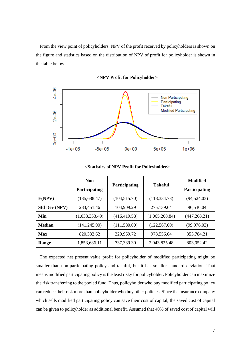From the view point of policyholders, NPV of the profit received by policyholders is shown on the figure and statistics based on the distribution of NPV of profit for policyholder is shown in the table below.



### **<NPV Profit for Policyholder>**

**<Statistics of NPV Profit for Policyholder>**

|                      | <b>Non</b>     | Participating | <b>Takaful</b> | Modified             |
|----------------------|----------------|---------------|----------------|----------------------|
|                      | Participating  |               |                | <b>Participating</b> |
| E(NPV)               | (135, 688.47)  | (104, 515.70) | (118, 334.73)  | (94, 524.03)         |
| <b>Std Dev (NPV)</b> | 283,451.46     | 104,909.29    | 275,139.64     | 96,530.04            |
| Min                  | (1,033,353.49) | (416, 419.58) | (1,065,268.84) | (447, 268.21)        |
| <b>Median</b>        | (141, 245.90)  | (111,580.00)  | (122, 567.00)  | (99, 976.03)         |
| Max                  | 820,332.62     | 320,969.72    | 978,556.64     | 355,784.21           |
| Range                | 1,853,686.11   | 737,389.30    | 2,043,825.48   | 803,052.42           |

The expected net present value profit for policyholder of modified participating might be smaller than non-participating policy and takaful, but it has smaller standard deviation. That means modified participating policy is the least risky for policyholder. Policyholder can maximize the risk transferring to the pooled fund. Thus, policyholder who buy modified participating policy can reduce their risk more than policyholder who buy other policies. Since the insurance company which sells modified participating policy can save their cost of capital, the saved cost of capital can be given to policyholder as additional benefit. Assumed that 40% of saved cost of capital will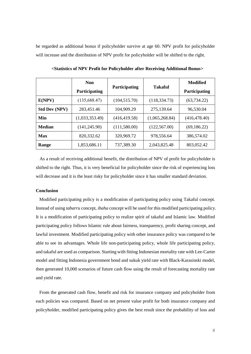be regarded as additional bonus if policyholder survive at age 60. NPV profit for policyholder will increase and the distribution of NPV profit for policyholder will be shifted to the right.

|                      | <b>Non</b>           |               | Takaful        | Modified             |
|----------------------|----------------------|---------------|----------------|----------------------|
|                      | <b>Participating</b> | Participating |                | <b>Participating</b> |
| E(NPV)               | (135, 688.47)        | (104, 515.70) | (118, 334.73)  | (63, 734.22)         |
| <b>Std Dev (NPV)</b> | 283,451.46           | 104,909.29    | 275,139.64     | 96,530.04            |
| Min                  | (1,033,353.49)       | (416, 419.58) | (1,065,268.84) | (416, 478.40)        |
| <b>Median</b>        | (141, 245.90)        | (111,580.00)  | (122, 567.00)  | (69, 186.22)         |
| Max                  | 820,332.62           | 320,969.72    | 978,556.64     | 386,574.02           |
| Range                | 1,853,686.11         | 737,389.30    | 2,043,825.48   | 803,052.42           |

**<Statistics of NPV Profit for Policyholder after Receiving Additional Bonus>**

As a result of receiving additional benefit, the distribution of NPV of profit for policyholder is shifted to the right. Thus, it is very beneficial for policyholder since the risk of experiencing loss will decrease and it is the least risky for policyholder since it has smaller standard deviation.

#### **Conclusion**

Modified participating policy is a modification of participating policy using Takaful concept. Instead of using *tabarru* concept, *ibaha* concept will be used for this modified participating policy. It is a modification of participating policy to realize spirit of takaful and Islamic law. Modified participating policy follows Islamic rule about fairness, transparency, profit sharing concept, and lawful investment. Modified participating policy with other insurance policy was compared to be able to see its advantages. Whole life non-participating policy, whole life participating policy, and takaful are used as comparison. Starting with fitting Indonesian mortality rate with Lee-Carter model and fitting Indonesia government bond and sukuk yield rate with Black-Karasinski model, then generated 10,000 scenarios of future cash flow using the result of forecasting mortality rate and yield rate.

From the generated cash flow, benefit and risk for insurance company and policyholder from each policies was compared. Based on net present value profit for both insurance company and policyholder, modified participating policy gives the best result since the probability of loss and